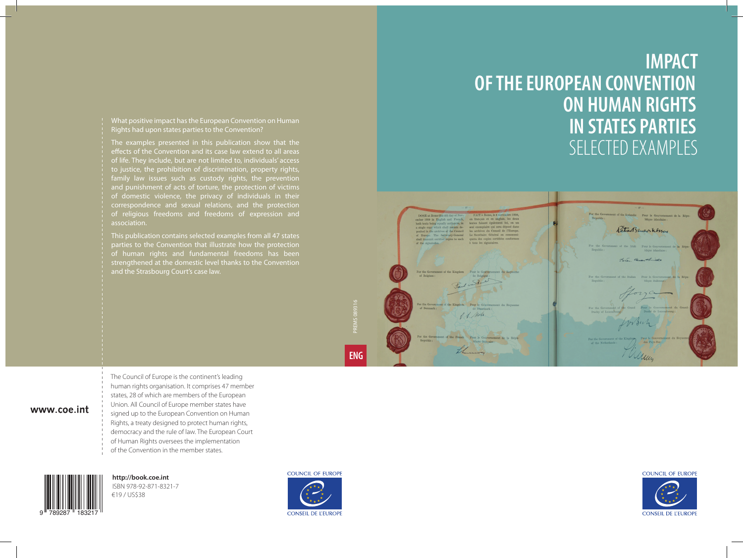### **IMPACT OF THE EUROPEAN CONVENTION ON HUMAN RIGHTS IN STATES PARTIES** SELECTED EXAMPLES



#### **COUNCIL OF EUROPE**

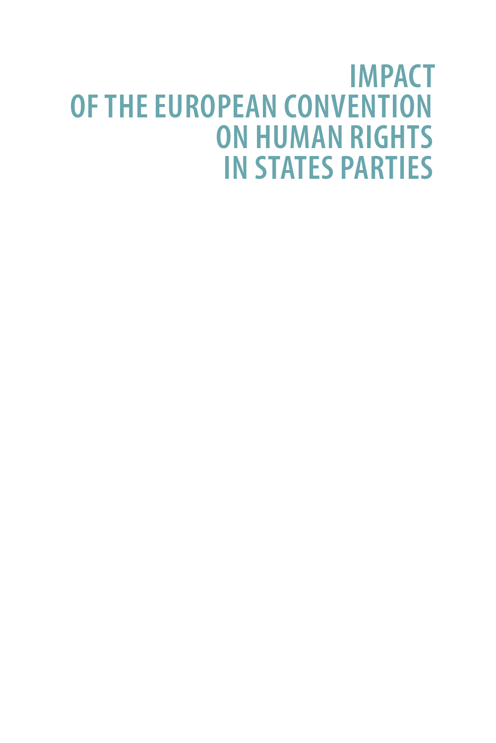## **IMPACT OF THE EUROPEAN CONVENTION ON HUMAN RIGHTS IN STATES PARTIES**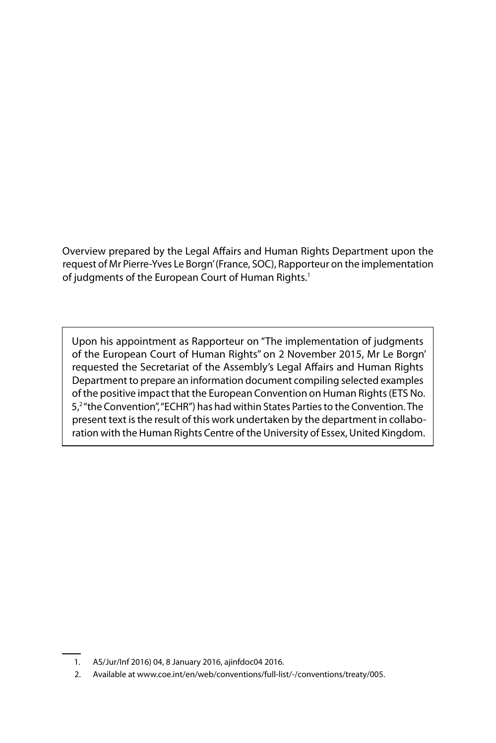Overview prepared by the Legal Affairs and Human Rights Department upon the request of Mr Pierre-Yves Le Borgn' (France, SOC), Rapporteur on the implementation of judgments of the European Court of Human Rights.<sup>1</sup>

Upon his appointment as Rapporteur on "The implementation of judgments of the European Court of Human Rights" on 2 November 2015, Mr Le Borgn' requested the Secretariat of the Assembly's Legal Affairs and Human Rights Department to prepare an information document compiling selected examples of the positive impact that the European Convention on Human Rights (ETS No. 5,<sup>2</sup> "the Convention", "ECHR") has had within States Parties to the Convention. The present text is the result of this work undertaken by the department in collaboration with the Human Rights Centre of the University of Essex, United Kingdom.

2. Available at www.coe.int/en/web/conventions/full-list/-/conventions/treaty/005.

<sup>1.</sup> AS/Jur/Inf 2016) 04, 8 January 2016, ajinfdoc04 2016.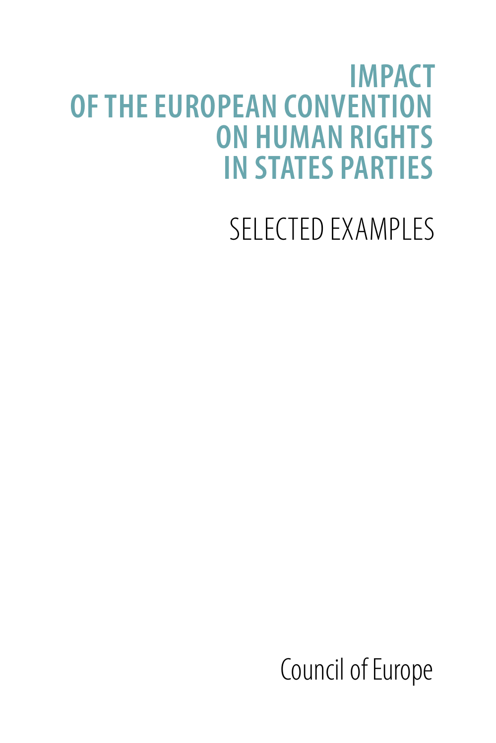## **IMPACT OF THE EUROPEAN CONVENTION ON HUMAN RIGHTS IN STATES PARTIES**

# SELECTED EXAMPLES

Council of Europe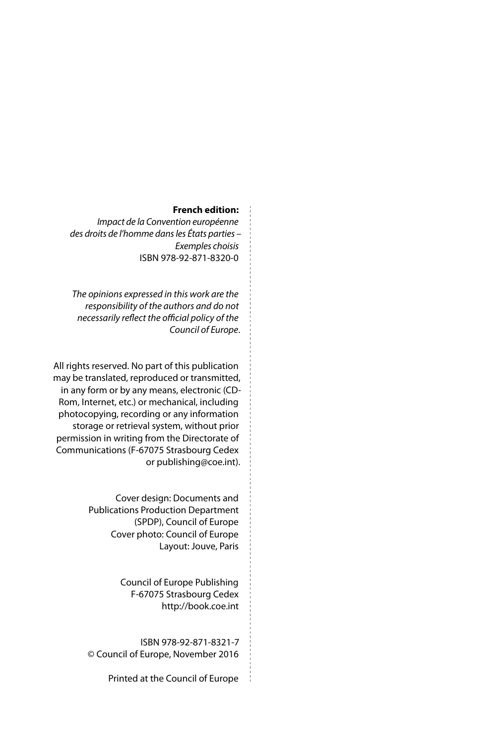#### **French edition:**

*Impact de la Convention européenne des droits de l'homme dans les États parties – Exemples choisis* ISBN 978-92-871-8320-0

*The opinions expressed in this work are the responsibility of the authors and do not necessarily reflect the official policy of the Council of Europe*.

All rights reserved. No part of this publication may be translated, reproduced or transmitted, in any form or by any means, electronic (CD-Rom, Internet, etc.) or mechanical, including photocopying, recording or any information storage or retrieval system, without prior permission in writing from the Directorate of Communications (F-67075 Strasbourg Cedex or [publishing@coe.int](mailto:publishing%40coe.int?subject=)).

> Cover design: Documents and Publications Production Department (SPDP), Council of Europe Cover photo: Council of Europe Layout: Jouve, Paris

> > Council of Europe Publishing F-67075 Strasbourg Cedex <http://book.coe.int>

ISBN 978-92-871-8321-7 © Council of Europe, November 2016

Printed at the Council of Europe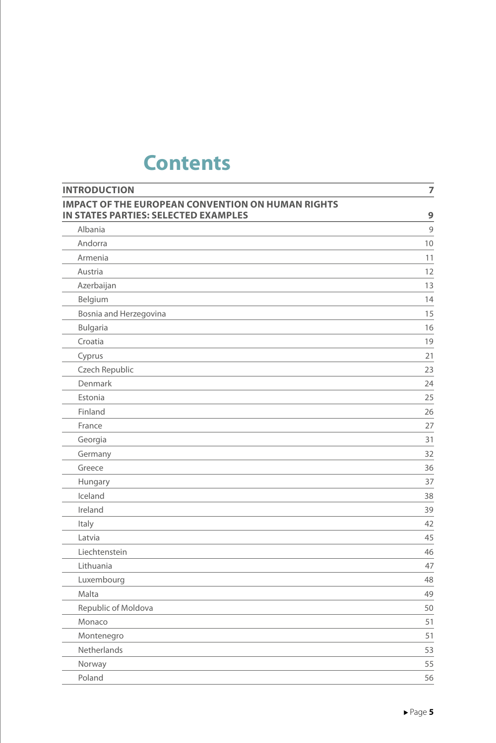### **Contents**

| <b>INTRODUCTION</b>                                      | 7  |
|----------------------------------------------------------|----|
| <b>IMPACT OF THE EUROPEAN CONVENTION ON HUMAN RIGHTS</b> |    |
| IN STATES PARTIES: SELECTED EXAMPLES                     | 9  |
| Albania                                                  | 9  |
| Andorra                                                  | 10 |
| Armenia                                                  | 11 |
| Austria                                                  | 12 |
| Azerbaijan                                               | 13 |
| Belgium                                                  | 14 |
| Bosnia and Herzegovina                                   | 15 |
| Bulgaria                                                 | 16 |
| Croatia                                                  | 19 |
| Cyprus                                                   | 21 |
| Czech Republic                                           | 23 |
| Denmark                                                  | 24 |
| Estonia                                                  | 25 |
| Finland                                                  | 26 |
| France                                                   | 27 |
| Georgia                                                  | 31 |
| Germany                                                  | 32 |
| Greece                                                   | 36 |
| Hungary                                                  | 37 |
| Iceland                                                  | 38 |
| Ireland                                                  | 39 |
| Italy                                                    | 42 |
| Latvia                                                   | 45 |
| Liechtenstein                                            | 46 |
| Lithuania                                                | 47 |
| Luxembourg                                               | 48 |
| Malta                                                    | 49 |
| Republic of Moldova                                      | 50 |
| Monaco                                                   | 51 |
| Montenegro                                               | 51 |
| Netherlands                                              | 53 |
| Norway                                                   | 55 |
| Poland                                                   | 56 |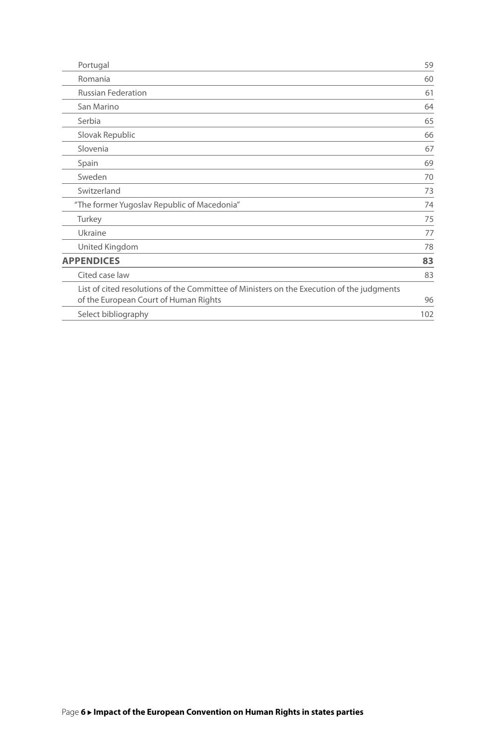| Portugal                                                                                                                           | 59  |
|------------------------------------------------------------------------------------------------------------------------------------|-----|
| Romania                                                                                                                            | 60  |
| <b>Russian Federation</b>                                                                                                          | 61  |
| San Marino                                                                                                                         | 64  |
| Serbia                                                                                                                             | 65  |
| Slovak Republic                                                                                                                    | 66  |
| Slovenia                                                                                                                           | 67  |
| Spain                                                                                                                              | 69  |
| Sweden                                                                                                                             | 70  |
| Switzerland                                                                                                                        | 73  |
| "The former Yugoslav Republic of Macedonia"                                                                                        | 74  |
| Turkey                                                                                                                             | 75  |
| Ukraine                                                                                                                            | 77  |
| United Kingdom                                                                                                                     | 78  |
| <b>APPENDICES</b>                                                                                                                  | 83  |
| Cited case law                                                                                                                     | 83  |
| List of cited resolutions of the Committee of Ministers on the Execution of the judgments<br>of the European Court of Human Rights | 96  |
| Select bibliography                                                                                                                | 102 |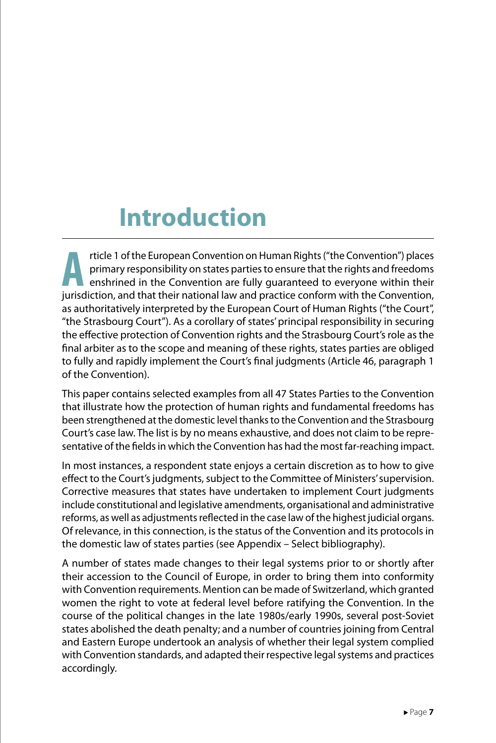## **Introduction**

The Furopean Convention on Human Rights ("the Convention") places<br>
enshrined in the Convention are fully guaranteed to everyone within their<br>
invisibility and that their pational law and practice conform with the Conventio primary responsibility on states parties to ensure that the rights and freedoms jurisdiction, and that their national law and practice conform with the Convention, as authoritatively interpreted by the European Court of Human Rights ("the Court", "the Strasbourg Court"). As a corollary of states' principal responsibility in securing the effective protection of Convention rights and the Strasbourg Court's role as the final arbiter as to the scope and meaning of these rights, states parties are obliged to fully and rapidly implement the Court's final judgments (Article 46, paragraph 1 of the Convention).

This paper contains selected examples from all 47 States Parties to the Convention that illustrate how the protection of human rights and fundamental freedoms has been strengthened at the domestic level thanks to the Convention and the Strasbourg Court's case law. The list is by no means exhaustive, and does not claim to be representative of the fields in which the Convention has had the most far-reaching impact.

In most instances, a respondent state enjoys a certain discretion as to how to give effect to the Court's judgments, subject to the Committee of Ministers' supervision. Corrective measures that states have undertaken to implement Court judgments include constitutional and legislative amendments, organisational and administrative reforms, as well as adjustments reflected in the case law of the highest judicial organs. Of relevance, in this connection, is the status of the Convention and its protocols in the domestic law of states parties (see Appendix – Select bibliography).

A number of states made changes to their legal systems prior to or shortly after their accession to the Council of Europe, in order to bring them into conformity with Convention requirements. Mention can be made of Switzerland, which granted women the right to vote at federal level before ratifying the Convention. In the course of the political changes in the late 1980s/early 1990s, several post-Soviet states abolished the death penalty; and a number of countries joining from Central and Eastern Europe undertook an analysis of whether their legal system complied with Convention standards, and adapted their respective legal systems and practices accordingly.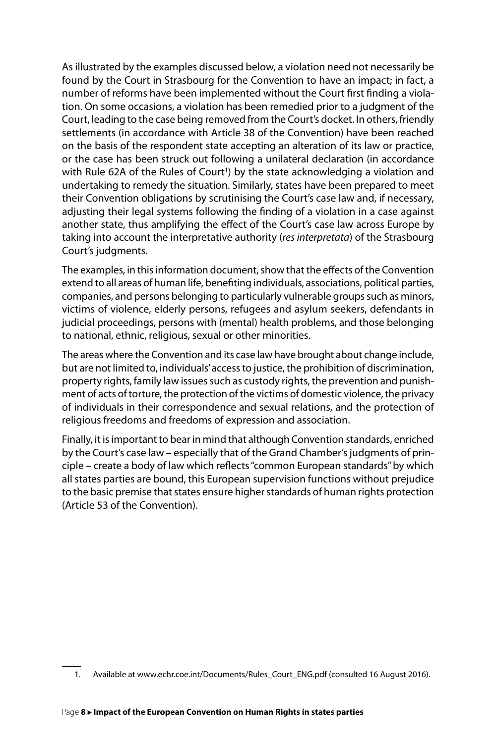As illustrated by the examples discussed below, a violation need not necessarily be found by the Court in Strasbourg for the Convention to have an impact; in fact, a number of reforms have been implemented without the Court first finding a violation. On some occasions, a violation has been remedied prior to a judgment of the Court, leading to the case being removed from the Court's docket. In others, friendly settlements (in accordance with Article 38 of the Convention) have been reached on the basis of the respondent state accepting an alteration of its law or practice, or the case has been struck out following a unilateral declaration (in accordance with Rule 62A of the Rules of Court<sup>1</sup>) by the state acknowledging a violation and undertaking to remedy the situation. Similarly, states have been prepared to meet their Convention obligations by scrutinising the Court's case law and, if necessary, adjusting their legal systems following the finding of a violation in a case against another state, thus amplifying the effect of the Court's case law across Europe by taking into account the interpretative authority (*res interpretata*) of the Strasbourg Court's judgments.

The examples, in this information document, show that the effects of the Convention extend to all areas of human life, benefiting individuals, associations, political parties, companies, and persons belonging to particularly vulnerable groups such as minors, victims of violence, elderly persons, refugees and asylum seekers, defendants in judicial proceedings, persons with (mental) health problems, and those belonging to national, ethnic, religious, sexual or other minorities.

The areas where the Convention and its case law have brought about change include, but are not limited to, individuals' access to justice, the prohibition of discrimination, property rights, family law issues such as custody rights, the prevention and punishment of acts of torture, the protection of the victims of domestic violence, the privacy of individuals in their correspondence and sexual relations, and the protection of religious freedoms and freedoms of expression and association.

Finally, it is important to bear in mind that although Convention standards, enriched by the Court's case law – especially that of the Grand Chamber's judgments of principle – create a body of law which reflects "common European standards" by which all states parties are bound, this European supervision functions without prejudice to the basic premise that states ensure higher standards of human rights protection (Article 53 of the Convention).

<sup>1.</sup> Available at [www.echr.coe.int/Documents/Rules\\_Court\\_ENG.pdf](http://www.echr.coe.int/Documents/Rules_Court_ENG.pdf) (consulted 16 August 2016).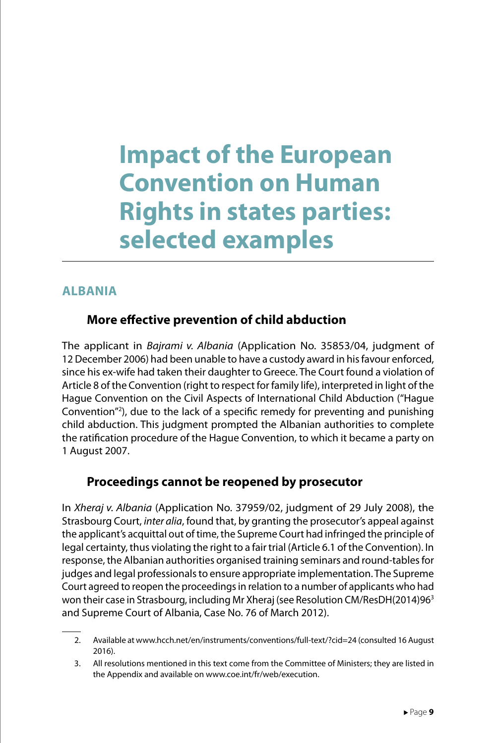### **Impact of the European Convention on Human Rights in states parties: selected examples**

#### **ALBANIA**

### **More effective prevention of child abduction**

The applicant in *Bajrami v. Albania* (Application No. 35853/04, judgment of 12 December 2006) had been unable to have a custody award in his favour enforced, since his ex-wife had taken their daughter to Greece. The Court found a violation of Article 8 of the Convention (right to respect for family life), interpreted in light of the Hague Convention on the Civil Aspects of International Child Abduction ("Hague Convention"2 ), due to the lack of a specific remedy for preventing and punishing child abduction. This judgment prompted the Albanian authorities to complete the ratification procedure of the Hague Convention, to which it became a party on 1 August 2007.

### **Proceedings cannot be reopened by prosecutor**

In *Xheraj v. Albania* (Application No. 37959/02, judgment of 29 July 2008), the Strasbourg Court, *inter alia*, found that, by granting the prosecutor's appeal against the applicant's acquittal out of time, the Supreme Court had infringed the principle of legal certainty, thus violating the right to a fair trial (Article 6.1 of the Convention). In response, the Albanian authorities organised training seminars and round-tables for judges and legal professionals to ensure appropriate implementation. The Supreme Court agreed to reopen the proceedings in relation to a number of applicants who had won their case in Strasbourg, including Mr Xheraj (see Resolution CM/ResDH(2014)963 and Supreme Court of Albania, Case No. 76 of March 2012).

<sup>2.</sup> Available at [www.hcch.net/en/instruments/conventions/full-text/?cid=24](http://www.hcch.net/en/instruments/conventions/full-text/?cid=24) (consulted 16 August 2016).

<sup>3.</sup> All resolutions mentioned in this text come from the Committee of Ministers; they are listed in the Appendix and available on [www.coe.int/fr/web/execution](http://www.coe.int/fr/web/execution).